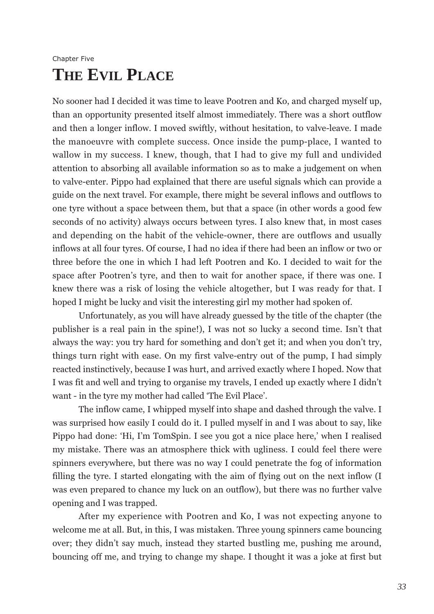## Chapter Five **THE EVIL PLACE**

No sooner had I decided it was time to leave Pootren and Ko, and charged myself up, than an opportunity presented itself almost immediately. There was a short outflow and then a longer inflow. I moved swiftly, without hesitation, to valve-leave. I made the manoeuvre with complete success. Once inside the pump-place, I wanted to wallow in my success. I knew, though, that I had to give my full and undivided attention to absorbing all available information so as to make a judgement on when to valve-enter. Pippo had explained that there are useful signals which can provide a guide on the next travel. For example, there might be several inflows and outflows to one tyre without a space between them, but that a space (in other words a good few seconds of no activity) always occurs between tyres. I also knew that, in most cases and depending on the habit of the vehicle-owner, there are outflows and usually inflows at all four tyres. Of course, I had no idea if there had been an inflow or two or three before the one in which I had left Pootren and Ko. I decided to wait for the space after Pootren's tyre, and then to wait for another space, if there was one. I knew there was a risk of losing the vehicle altogether, but I was ready for that. I hoped I might be lucky and visit the interesting girl my mother had spoken of.

Unfortunately, as you will have already guessed by the title of the chapter (the publisher is a real pain in the spine!), I was not so lucky a second time. Isn't that always the way: you try hard for something and don't get it; and when you don't try, things turn right with ease. On my first valve-entry out of the pump, I had simply reacted instinctively, because I was hurt, and arrived exactly where I hoped. Now that I was fit and well and trying to organise my travels, I ended up exactly where I didn't want - in the tyre my mother had called 'The Evil Place'.

The inflow came, I whipped myself into shape and dashed through the valve. I was surprised how easily I could do it. I pulled myself in and I was about to say, like Pippo had done: 'Hi, I'm TomSpin. I see you got a nice place here,' when I realised my mistake. There was an atmosphere thick with ugliness. I could feel there were spinners everywhere, but there was no way I could penetrate the fog of information filling the tyre. I started elongating with the aim of flying out on the next inflow (I was even prepared to chance my luck on an outflow), but there was no further valve opening and I was trapped.

After my experience with Pootren and Ko, I was not expecting anyone to welcome me at all. But, in this, I was mistaken. Three young spinners came bouncing over; they didn't say much, instead they started bustling me, pushing me around, bouncing off me, and trying to change my shape. I thought it was a joke at first but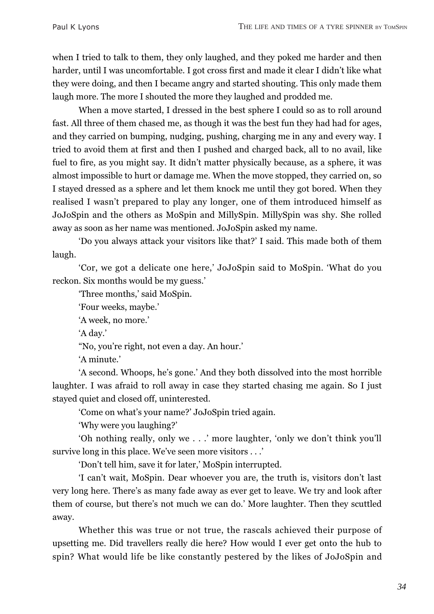when I tried to talk to them, they only laughed, and they poked me harder and then harder, until I was uncomfortable. I got cross first and made it clear I didn't like what they were doing, and then I became angry and started shouting. This only made them laugh more. The more I shouted the more they laughed and prodded me.

When a move started, I dressed in the best sphere I could so as to roll around fast. All three of them chased me, as though it was the best fun they had had for ages, and they carried on bumping, nudging, pushing, charging me in any and every way. I tried to avoid them at first and then I pushed and charged back, all to no avail, like fuel to fire, as you might say. It didn't matter physically because, as a sphere, it was almost impossible to hurt or damage me. When the move stopped, they carried on, so I stayed dressed as a sphere and let them knock me until they got bored. When they realised I wasn't prepared to play any longer, one of them introduced himself as JoJoSpin and the others as MoSpin and MillySpin. MillySpin was shy. She rolled away as soon as her name was mentioned. JoJoSpin asked my name.

'Do you always attack your visitors like that?' I said. This made both of them laugh.

'Cor, we got a delicate one here,' JoJoSpin said to MoSpin. 'What do you reckon. Six months would be my guess.'

'Three months,' said MoSpin.

'Four weeks, maybe.'

'A week, no more.'

'A day.'

"No, you're right, not even a day. An hour.'

'A minute.'

'A second. Whoops, he's gone.' And they both dissolved into the most horrible laughter. I was afraid to roll away in case they started chasing me again. So I just stayed quiet and closed off, uninterested.

'Come on what's your name?' JoJoSpin tried again.

'Why were you laughing?'

'Oh nothing really, only we . . .' more laughter, 'only we don't think you'll survive long in this place. We've seen more visitors . . .'

'Don't tell him, save it for later,' MoSpin interrupted.

'I can't wait, MoSpin. Dear whoever you are, the truth is, visitors don't last very long here. There's as many fade away as ever get to leave. We try and look after them of course, but there's not much we can do.' More laughter. Then they scuttled away.

Whether this was true or not true, the rascals achieved their purpose of upsetting me. Did travellers really die here? How would I ever get onto the hub to spin? What would life be like constantly pestered by the likes of JoJoSpin and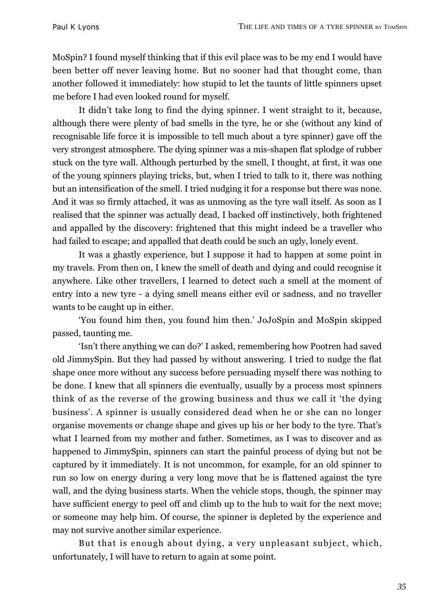MoSpin? I found myself thinking that if this evil place was to be my end I would have been better off never leaving home. But no sooner had that thought come, than another followed it immediately: how stupid to let the taunts of little spinners upset me before I had even looked round for myself.

It didn't take long to find the dying spinner. I went straight to it, because, although there were plenty of bad smells in the tyre, he or she (without any kind of recognisable life force it is impossible to tell much about a tyre spinner) gave off the very strongest atmosphere. The dying spinner was a mis-shapen flat splodge of rubber stuck on the tyre wall. Although perturbed by the smell, I thought, at first, it was one of the young spinners playing tricks, but, when I tried to talk to it, there was nothing but an intensification of the smell. I tried nudging it for a response but there was none. And it was so firmly attached, it was as unmoving as the tyre wall itself. As soon as I realised that the spinner was actually dead, I backed off instinctively, both frightened and appalled by the discovery: frightened that this might indeed be a traveller who had failed to escape; and appalled that death could be such an ugly, lonely event.

It was a ghastly experience, but I suppose it had to happen at some point in my travels. From then on, I knew the smell of death and dying and could recognise it anywhere. Like other travellers, I learned to detect such a smell at the moment of entry into a new tyre - a dying smell means either evil or sadness, and no traveller wants to be caught up in either.

'You found him then, you found him then.' JoJoSpin and MoSpin skipped passed, taunting me.

'Isn't there anything we can do?' I asked, remembering how Pootren had saved old JimmySpin. But they had passed by without answering. I tried to nudge the flat shape once more without any success before persuading myself there was nothing to be done. I knew that all spinners die eventually, usually by a process most spinners think of as the reverse of the growing business and thus we call it 'the dying business'. A spinner is usually considered dead when he or she can no longer organise movements or change shape and gives up his or her body to the tyre. That's what I learned from my mother and father. Sometimes, as I was to discover and as happened to JimmySpin, spinners can start the painful process of dying but not be captured by it immediately. It is not uncommon, for example, for an old spinner to run so low on energy during a very long move that he is flattened against the tyre wall, and the dying business starts. When the vehicle stops, though, the spinner may have sufficient energy to peel off and climb up to the hub to wait for the next move; or someone may help him. Of course, the spinner is depleted by the experience and may not survive another similar experience.

But that is enough about dying, a very unpleasant subject, which, unfortunately, I will have to return to again at some point.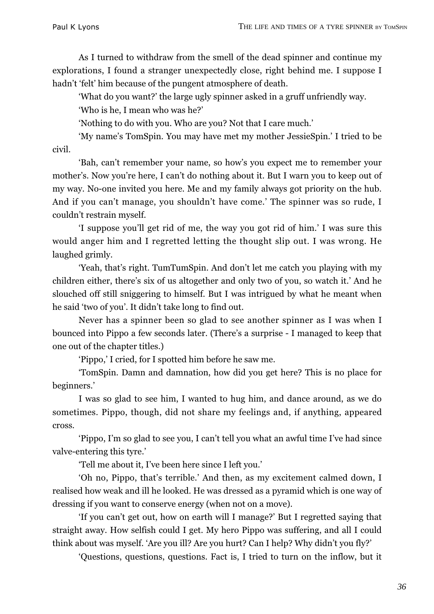As I turned to withdraw from the smell of the dead spinner and continue my explorations, I found a stranger unexpectedly close, right behind me. I suppose I hadn't 'felt' him because of the pungent atmosphere of death.

'What do you want?' the large ugly spinner asked in a gruff unfriendly way.

'Who is he, I mean who was he?'

'Nothing to do with you. Who are you? Not that I care much.'

'My name's TomSpin. You may have met my mother JessieSpin.' I tried to be civil.

'Bah, can't remember your name, so how's you expect me to remember your mother's. Now you're here, I can't do nothing about it. But I warn you to keep out of my way. No-one invited you here. Me and my family always got priority on the hub. And if you can't manage, you shouldn't have come.' The spinner was so rude, I couldn't restrain myself.

'I suppose you'll get rid of me, the way you got rid of him.' I was sure this would anger him and I regretted letting the thought slip out. I was wrong. He laughed grimly.

'Yeah, that's right. TumTumSpin. And don't let me catch you playing with my children either, there's six of us altogether and only two of you, so watch it.' And he slouched off still sniggering to himself. But I was intrigued by what he meant when he said 'two of you'. It didn't take long to find out.

Never has a spinner been so glad to see another spinner as I was when I bounced into Pippo a few seconds later. (There's a surprise - I managed to keep that one out of the chapter titles.)

'Pippo,' I cried, for I spotted him before he saw me.

'TomSpin. Damn and damnation, how did you get here? This is no place for beginners.'

I was so glad to see him, I wanted to hug him, and dance around, as we do sometimes. Pippo, though, did not share my feelings and, if anything, appeared cross.

'Pippo, I'm so glad to see you, I can't tell you what an awful time I've had since valve-entering this tyre.'

'Tell me about it, I've been here since I left you.'

'Oh no, Pippo, that's terrible.' And then, as my excitement calmed down, I realised how weak and ill he looked. He was dressed as a pyramid which is one way of dressing if you want to conserve energy (when not on a move).

'If you can't get out, how on earth will I manage?' But I regretted saying that straight away. How selfish could I get. My hero Pippo was suffering, and all I could think about was myself. 'Are you ill? Are you hurt? Can I help? Why didn't you fly?'

'Questions, questions, questions. Fact is, I tried to turn on the inflow, but it